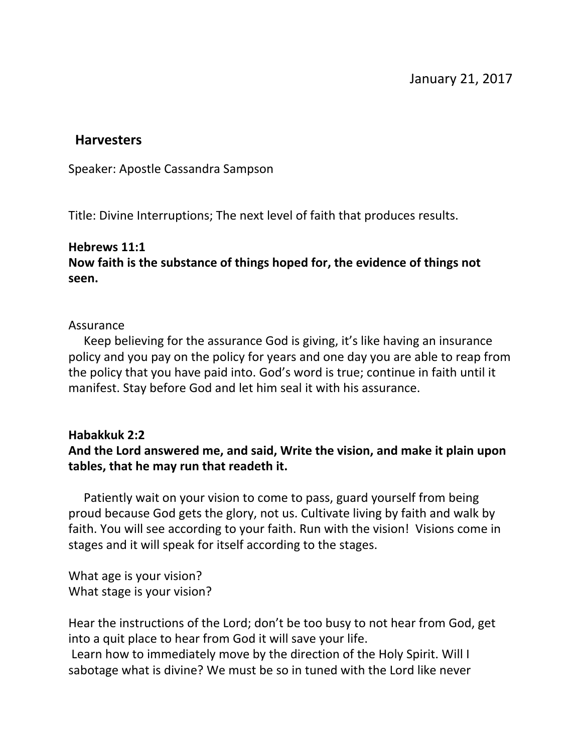#### **Harvesters**

Speaker: Apostle Cassandra Sampson

Title: Divine Interruptions; The next level of faith that produces results.

#### **Hebrews 11:1**

## **Now faith is the substance of things hoped for, the evidence of things not seen.**

#### Assurance

 Keep believing for the assurance God is giving, it's like having an insurance policy and you pay on the policy for years and one day you are able to reap from the policy that you have paid into. God's word is true; continue in faith until it manifest. Stay before God and let him seal it with his assurance.

### **Habakkuk 2:2**

# **And the Lord answered me, and said, Write the vision, and make it plain upon tables, that he may run that readeth it.**

 Patiently wait on your vision to come to pass, guard yourself from being proud because God gets the glory, not us. Cultivate living by faith and walk by faith. You will see according to your faith. Run with the vision! Visions come in stages and it will speak for itself according to the stages.

What age is your vision? What stage is your vision?

Hear the instructions of the Lord; don't be too busy to not hear from God, get into a quit place to hear from God it will save your life.

 Learn how to immediately move by the direction of the Holy Spirit. Will I sabotage what is divine? We must be so in tuned with the Lord like never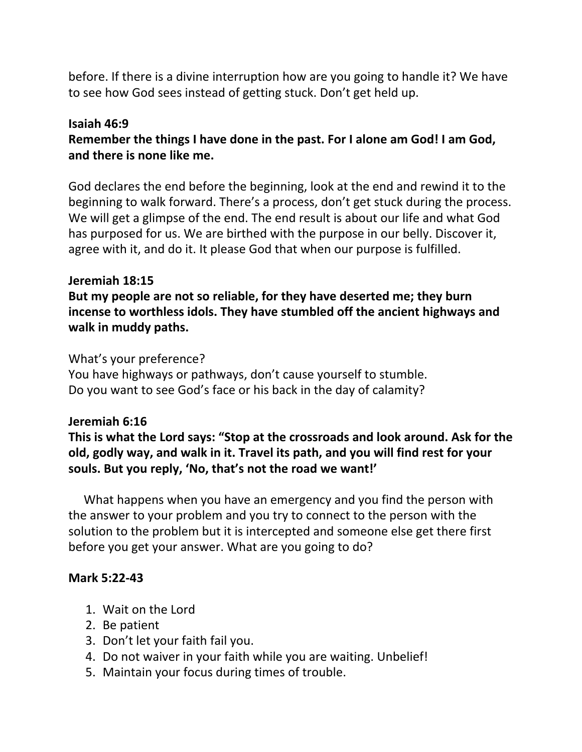before. If there is a divine interruption how are you going to handle it? We have to see how God sees instead of getting stuck. Don't get held up.

# **Isaiah 46:9**

**Remember the things I have done in the past. For I alone am God! I am God, and there is none like me.**

God declares the end before the beginning, look at the end and rewind it to the beginning to walk forward. There's a process, don't get stuck during the process. We will get a glimpse of the end. The end result is about our life and what God has purposed for us. We are birthed with the purpose in our belly. Discover it, agree with it, and do it. It please God that when our purpose is fulfilled.

### **Jeremiah 18:15**

**But my people are not so reliable, for they have deserted me; they burn incense to worthless idols. They have stumbled off the ancient highways and walk in muddy paths.**

# What's your preference?

You have highways or pathways, don't cause yourself to stumble. Do you want to see God's face or his back in the day of calamity?

### **Jeremiah 6:16**

**This is what the Lord says: "Stop at the crossroads and look around. Ask for the old, godly way, and walk in it. Travel its path, and you will find rest for your souls. But you reply, 'No, that's not the road we want!'**

 What happens when you have an emergency and you find the person with the answer to your problem and you try to connect to the person with the solution to the problem but it is intercepted and someone else get there first before you get your answer. What are you going to do?

### **Mark 5:22-43**

- 1. Wait on the Lord
- 2. Be patient
- 3. Don't let your faith fail you.
- 4. Do not waiver in your faith while you are waiting. Unbelief!
- 5. Maintain your focus during times of trouble.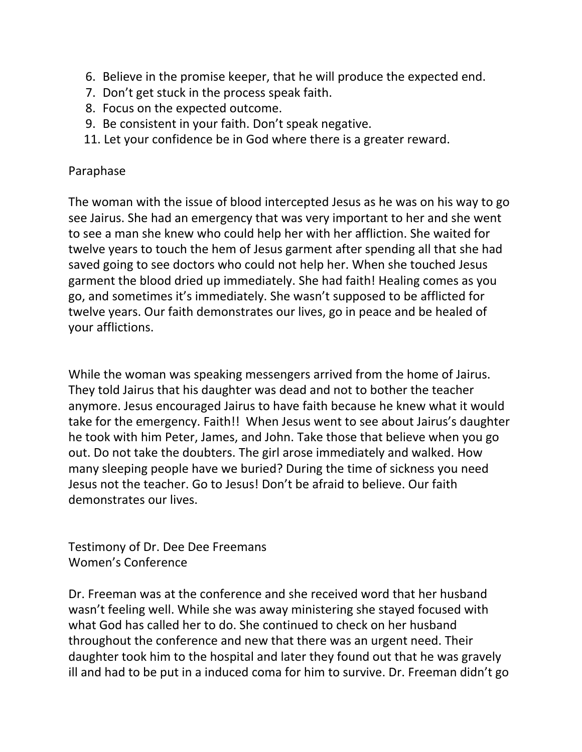- 6. Believe in the promise keeper, that he will produce the expected end.
- 7. Don't get stuck in the process speak faith.
- 8. Focus on the expected outcome.
- 9. Be consistent in your faith. Don't speak negative.
- 11. Let your confidence be in God where there is a greater reward.

## Paraphase

The woman with the issue of blood intercepted Jesus as he was on his way to go see Jairus. She had an emergency that was very important to her and she went to see a man she knew who could help her with her affliction. She waited for twelve years to touch the hem of Jesus garment after spending all that she had saved going to see doctors who could not help her. When she touched Jesus garment the blood dried up immediately. She had faith! Healing comes as you go, and sometimes it's immediately. She wasn't supposed to be afflicted for twelve years. Our faith demonstrates our lives, go in peace and be healed of your afflictions.

While the woman was speaking messengers arrived from the home of Jairus. They told Jairus that his daughter was dead and not to bother the teacher anymore. Jesus encouraged Jairus to have faith because he knew what it would take for the emergency. Faith!! When Jesus went to see about Jairus's daughter he took with him Peter, James, and John. Take those that believe when you go out. Do not take the doubters. The girl arose immediately and walked. How many sleeping people have we buried? During the time of sickness you need Jesus not the teacher. Go to Jesus! Don't be afraid to believe. Our faith demonstrates our lives.

Testimony of Dr. Dee Dee Freemans Women's Conference

Dr. Freeman was at the conference and she received word that her husband wasn't feeling well. While she was away ministering she stayed focused with what God has called her to do. She continued to check on her husband throughout the conference and new that there was an urgent need. Their daughter took him to the hospital and later they found out that he was gravely ill and had to be put in a induced coma for him to survive. Dr. Freeman didn't go